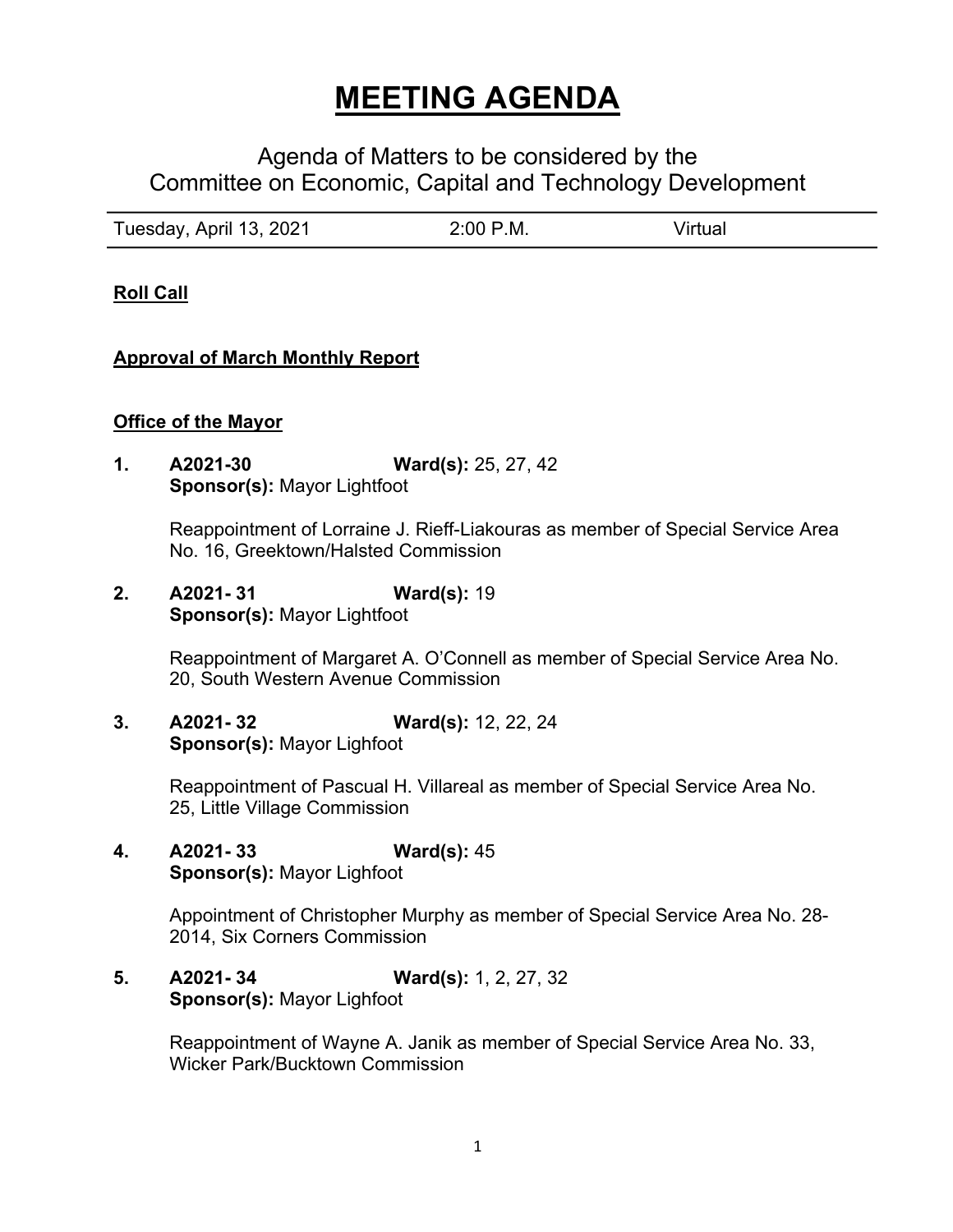# **MEETING AGENDA**

# Agenda of Matters to be considered by the Committee on Economic, Capital and Technology Development

| Tuesday, April 13, 2021 | 2:00 P.M. | Virtual |
|-------------------------|-----------|---------|
|                         |           |         |

**Roll Call**

### **Approval of March Monthly Report**

#### **Office of the Mayor**

**1. A2021-30 Ward(s):** 25, 27, 42 **Sponsor(s):** Mayor Lightfoot

> Reappointment of Lorraine J. Rieff-Liakouras as member of Special Service Area No. 16, Greektown/Halsted Commission

**2. A2021- 31 Ward(s):** 19 **Sponsor(s):** Mayor Lightfoot

> Reappointment of Margaret A. O'Connell as member of Special Service Area No. 20, South Western Avenue Commission

**3. A2021- 32 Ward(s):** 12, 22, 24 **Sponsor(s):** Mayor Lighfoot

> Reappointment of Pascual H. Villareal as member of Special Service Area No. 25, Little Village Commission

**4. A2021- 33 Ward(s):** 45 **Sponsor(s):** Mayor Lighfoot

> Appointment of Christopher Murphy as member of Special Service Area No. 28- 2014, Six Corners Commission

**5. A2021- 34 Ward(s):** 1, 2, 27, 32 **Sponsor(s):** Mayor Lighfoot

> Reappointment of Wayne A. Janik as member of Special Service Area No. 33, Wicker Park/Bucktown Commission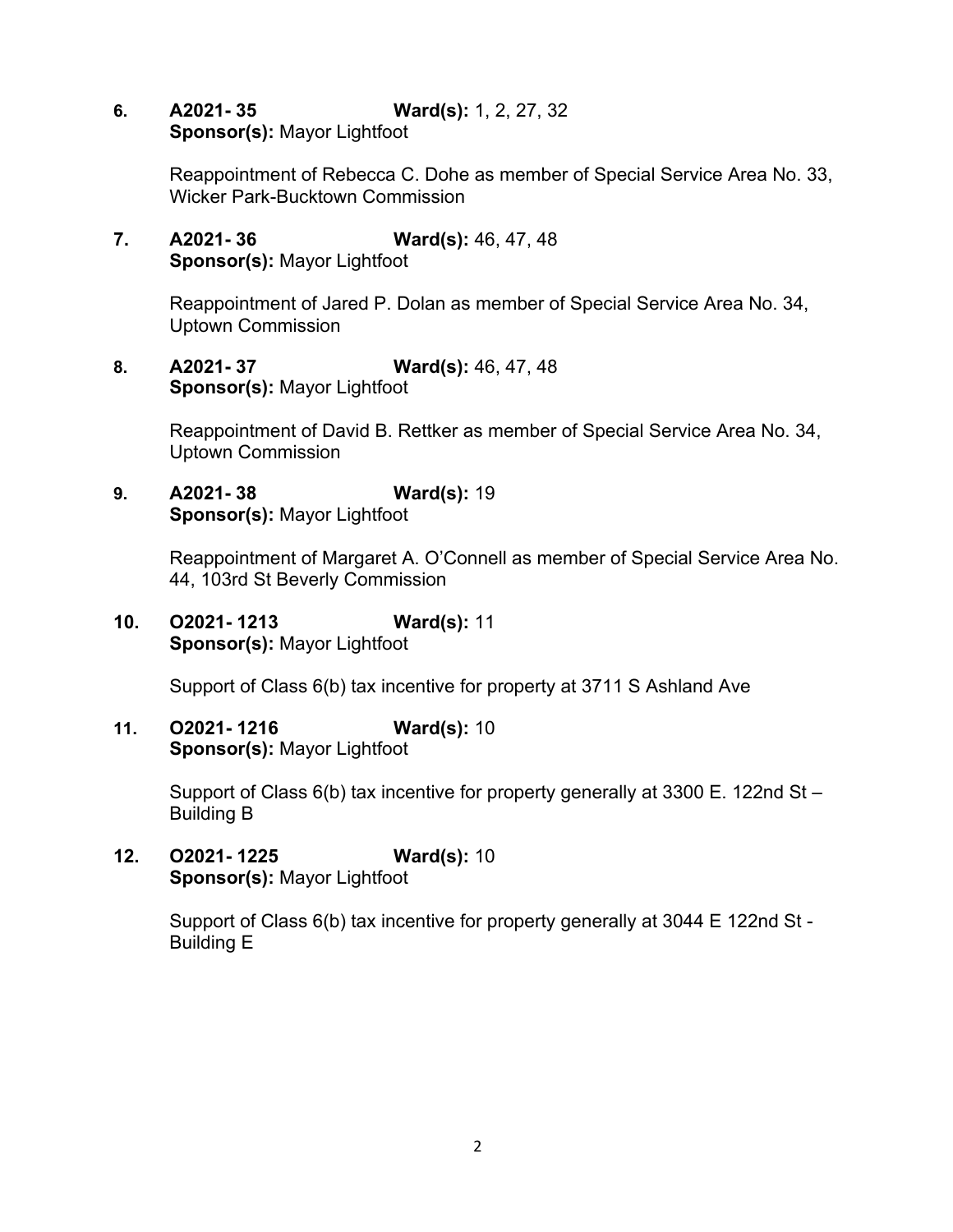**6. A2021- 35 Ward(s):** 1, 2, 27, 32 **Sponsor(s):** Mayor Lightfoot

> Reappointment of Rebecca C. Dohe as member of Special Service Area No. 33, Wicker Park-Bucktown Commission

**7. A2021- 36 Ward(s):** 46, 47, 48 **Sponsor(s):** Mayor Lightfoot

> Reappointment of Jared P. Dolan as member of Special Service Area No. 34, Uptown Commission

**8. A2021- 37 Ward(s):** 46, 47, 48 **Sponsor(s):** Mayor Lightfoot

> Reappointment of David B. Rettker as member of Special Service Area No. 34, Uptown Commission

**9. A2021- 38 Ward(s):** 19 **Sponsor(s):** Mayor Lightfoot

> Reappointment of Margaret A. O'Connell as member of Special Service Area No. 44, 103rd St Beverly Commission

**10. O2021- 1213 Ward(s):** 11 **Sponsor(s):** Mayor Lightfoot

Support of Class 6(b) tax incentive for property at 3711 S Ashland Ave

**11. O2021- 1216 Ward(s):** 10 **Sponsor(s):** Mayor Lightfoot

> Support of Class 6(b) tax incentive for property generally at 3300 E. 122nd St – Building B

**12. O2021- 1225 Ward(s):** 10 **Sponsor(s):** Mayor Lightfoot

> Support of Class 6(b) tax incentive for property generally at 3044 E 122nd St - Building E